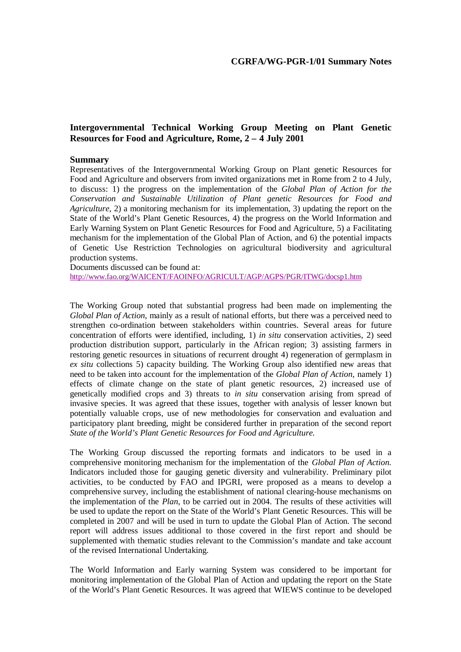## **Intergovernmental Technical Working Group Meeting on Plant Genetic Resources for Food and Agriculture, Rome, 2 – 4 July 2001**

## **Summary**

Representatives of the Intergovernmental Working Group on Plant genetic Resources for Food and Agriculture and observers from invited organizations met in Rome from 2 to 4 July, to discuss: 1) the progress on the implementation of the *Global Plan of Action for the Conservation and Sustainable Utilization of Plant genetic Resources for Food and Agriculture*, 2) a monitoring mechanism for its implementation, 3) updating the report on the State of the World's Plant Genetic Resources, 4) the progress on the World Information and Early Warning System on Plant Genetic Resources for Food and Agriculture, 5) a Facilitating mechanism for the implementation of the Global Plan of Action, and 6) the potential impacts of Genetic Use Restriction Technologies on agricultural biodiversity and agricultural production systems.

Documents discussed can be found at:

http://www.fao.org/WAICENT/FAOINFO/AGRICULT/AGP/AGPS/PGR/ITWG/docsp1.htm

The Working Group noted that substantial progress had been made on implementing the *Global Plan of Action*, mainly as a result of national efforts, but there was a perceived need to strengthen co-ordination between stakeholders within countries. Several areas for future concentration of efforts were identified, including, 1) *in situ* conservation activities, 2) seed production distribution support, particularly in the African region; 3) assisting farmers in restoring genetic resources in situations of recurrent drought 4) regeneration of germplasm in *ex situ* collections 5) capacity building. The Working Group also identified new areas that need to be taken into account for the implementation of the *Global Plan of Action*, namely 1) effects of climate change on the state of plant genetic resources, 2) increased use of genetically modified crops and 3) threats to *in situ* conservation arising from spread of invasive species. It was agreed that these issues, together with analysis of lesser known but potentially valuable crops, use of new methodologies for conservation and evaluation and participatory plant breeding, might be considered further in preparation of the second report *State of the World's Plant Genetic Resources for Food and Agriculture.*

The Working Group discussed the reporting formats and indicators to be used in a comprehensive monitoring mechanism for the implementation of the *Global Plan of Action.* Indicators included those for gauging genetic diversity and vulnerability. Preliminary pilot activities, to be conducted by FAO and IPGRI, were proposed as a means to develop a comprehensive survey, including the establishment of national clearing-house mechanisms on the implementation of the *Plan*, to be carried out in 2004. The results of these activities will be used to update the report on the State of the World's Plant Genetic Resources. This will be completed in 2007 and will be used in turn to update the Global Plan of Action. The second report will address issues additional to those covered in the first report and should be supplemented with thematic studies relevant to the Commission's mandate and take account of the revised International Undertaking.

The World Information and Early warning System was considered to be important for monitoring implementation of the Global Plan of Action and updating the report on the State of the World's Plant Genetic Resources. It was agreed that WIEWS continue to be developed